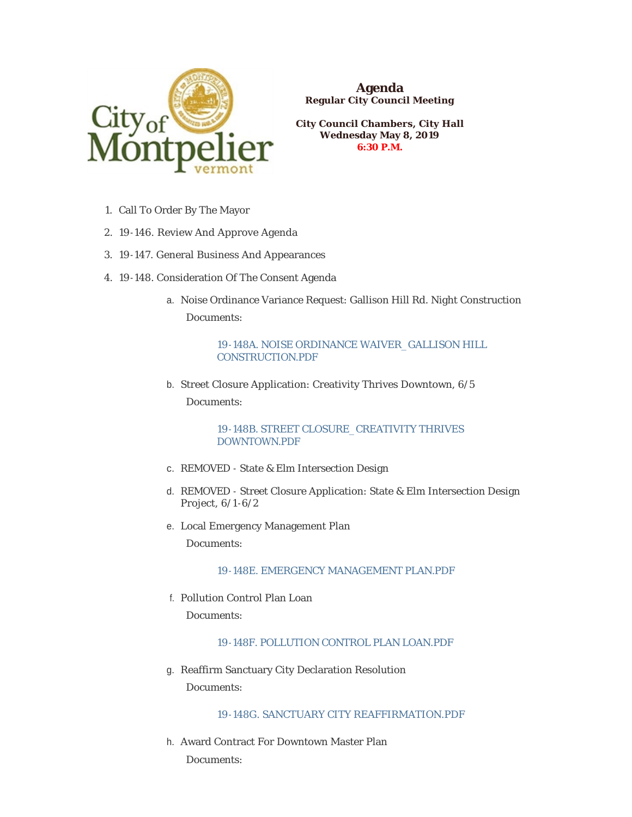

**Agenda Regular City Council Meeting**

**City Council Chambers, City Hall Wednesday May 8, 2019 6:30 P.M.**

- 1. Call To Order By The Mayor
- 19-146. Review And Approve Agenda 2.
- 19-147. General Business And Appearances 3.
- 19-148. Consideration Of The Consent Agenda 4.
	- Noise Ordinance Variance Request: Gallison Hill Rd. Night Construction a. Documents:

[19-148A. NOISE ORDINANCE WAIVER\\_GALLISON HILL](https://www.montpelier-vt.org/AgendaCenter/ViewFile/Item/1426?fileID=10345)  CONSTRUCTION.PDF

b. Street Closure Application: Creativity Thrives Downtown, 6/5

Documents:

[19-148B. STREET CLOSURE\\_CREATIVITY THRIVES](https://www.montpelier-vt.org/AgendaCenter/ViewFile/Item/1427?fileID=10338)  DOWNTOWN.PDF

- c. REMOVED State & Elm Intersection Design
- d. REMOVED Street Closure Application: State & Elm Intersection Design Project, 6/1 -6/2
- e. Local Emergency Management Plan Documents:

# [19-148E. EMERGENCY MANAGEMENT PLAN.PDF](https://www.montpelier-vt.org/AgendaCenter/ViewFile/Item/1443?fileID=10344)

Pollution Control Plan Loan f.

Documents:

## [19-148F. POLLUTION CONTROL PLAN LOAN.PDF](https://www.montpelier-vt.org/AgendaCenter/ViewFile/Item/1446?fileID=10346)

g. Reaffirm Sanctuary City Declaration Resolution Documents:

## [19-148G. SANCTUARY CITY REAFFIRMATION.PDF](https://www.montpelier-vt.org/AgendaCenter/ViewFile/Item/1447?fileID=10415)

Award Contract For Downtown Master Plan h. Documents: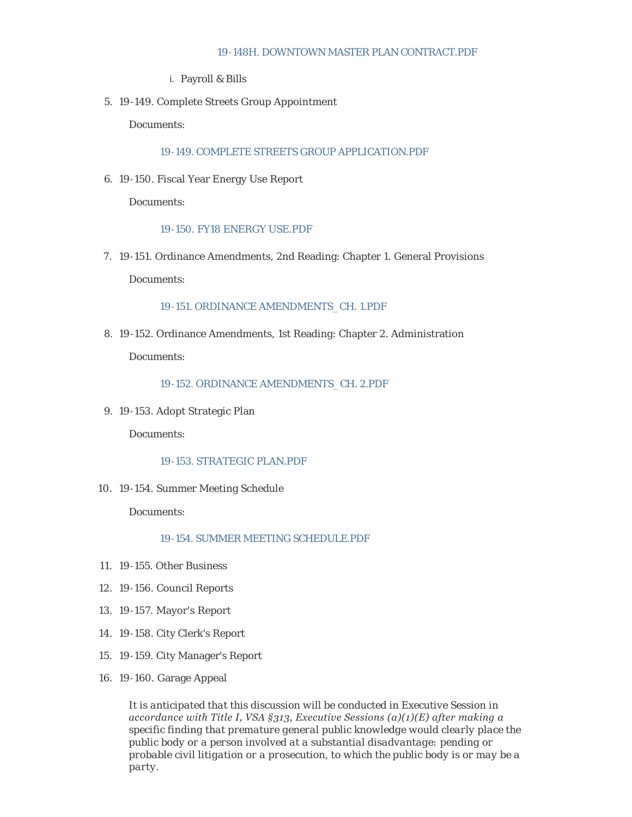#### [19-148H. DOWNTOWN MASTER PLAN CONTRACT.PDF](https://www.montpelier-vt.org/AgendaCenter/ViewFile/Item/1448?fileID=10361)

Payroll & Bills i.

19-149. Complete Streets Group Appointment 5.

Documents:

[19-149. COMPLETE STREETS GROUP APPLICATION.PDF](https://www.montpelier-vt.org/AgendaCenter/ViewFile/Item/1431?fileID=10333)

19-150. Fiscal Year Energy Use Report 6.

Documents:

#### [19-150. FY18 ENERGY USE.PDF](https://www.montpelier-vt.org/AgendaCenter/ViewFile/Item/1433?fileID=10356)

7. 19-151. Ordinance Amendments, 2nd Reading: Chapter 1. General Provisions

Documents:

#### [19-151. ORDINANCE AMENDMENTS\\_CH. 1.PDF](https://www.montpelier-vt.org/AgendaCenter/ViewFile/Item/1432?fileID=10334)

19-152. Ordinance Amendments, 1st Reading: Chapter 2. Administration 8. Documents:

#### [19-152. ORDINANCE AMENDMENTS\\_CH. 2.PDF](https://www.montpelier-vt.org/AgendaCenter/ViewFile/Item/1434?fileID=10387)

19-153. Adopt Strategic Plan 9.

Documents:

### [19-153. STRATEGIC PLAN.PDF](https://www.montpelier-vt.org/AgendaCenter/ViewFile/Item/1435?fileID=10412)

19-154. Summer Meeting Schedule 10.

Documents:

## [19-154. SUMMER MEETING SCHEDULE.PDF](https://www.montpelier-vt.org/AgendaCenter/ViewFile/Item/1436?fileID=10335)

- 19-155. Other Business 11.
- 19-156. Council Reports 12.
- 19-157. Mayor's Report 13.
- 19-158. City Clerk's Report 14.
- 19-159. City Manager's Report 15.
- 19-160. Garage Appeal 16.

*It is anticipated that this discussion will be conducted in Executive Session in accordance with Title I, VSA §313, Executive Sessions (a)(1)(E) after making a specific finding that premature general public knowledge would clearly place the public body or a person involved at a substantial disadvantage: pending or probable civil litigation or a prosecution, to which the public body is or may be a party.*